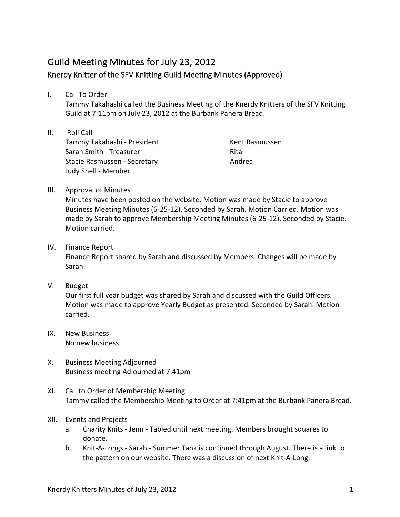## Guild Meeting Minutes for July 23, 2012 Knerdy Knitter of the SFV Knitting Guild Meeting Minutes (Approved)

I. Call To Order

Tammy Takahashi called the Business Meeting of the Knerdy Knitters of the SFV Knitting Guild at 7:11pm on July 23, 2012 at the Burbank Panera Bread.

II. Roll Call Tammy Takahashi - President Sarah Smith - Treasurer Stacie Rasmussen - Secretary Judy Snell - Member

Kent Rasmussen Rita Andrea

III. Approval of Minutes

Minutes have been posted on the website. Motion was made by Stacie to approve Business Meeting Minutes (6-25-12). Seconded by Sarah. Motion Carried. Motion was made by Sarah to approve Membership Meeting Minutes (6-25-12). Seconded by Stacie. Motion carried.

IV. Finance Report

Finance Report shared by Sarah and discussed by Members. Changes will be made by Sarah.

## V. Budget

Our first full year budget was shared by Sarah and discussed with the Guild Officers. Motion was made to approve Yearly Budget as presented. Seconded by Sarah. Motion carried.

- IX. New Business No new business.
- X. Business Meeting Adjourned Business meeting Adjourned at 7:41pm
- XI. Call to Order of Membership Meeting Tammy called the Membership Meeting to Order at 7:41pm at the Burbank Panera Bread.
- XII. Events and Projects
	- a. Charity Knits Jenn Tabled until next meeting. Members brought squares to donate.
	- b. Knit-A-Longs Sarah Summer Tank is continued through August. There is a link to the pattern on our website. There was a discussion of next Knit-A-Long.